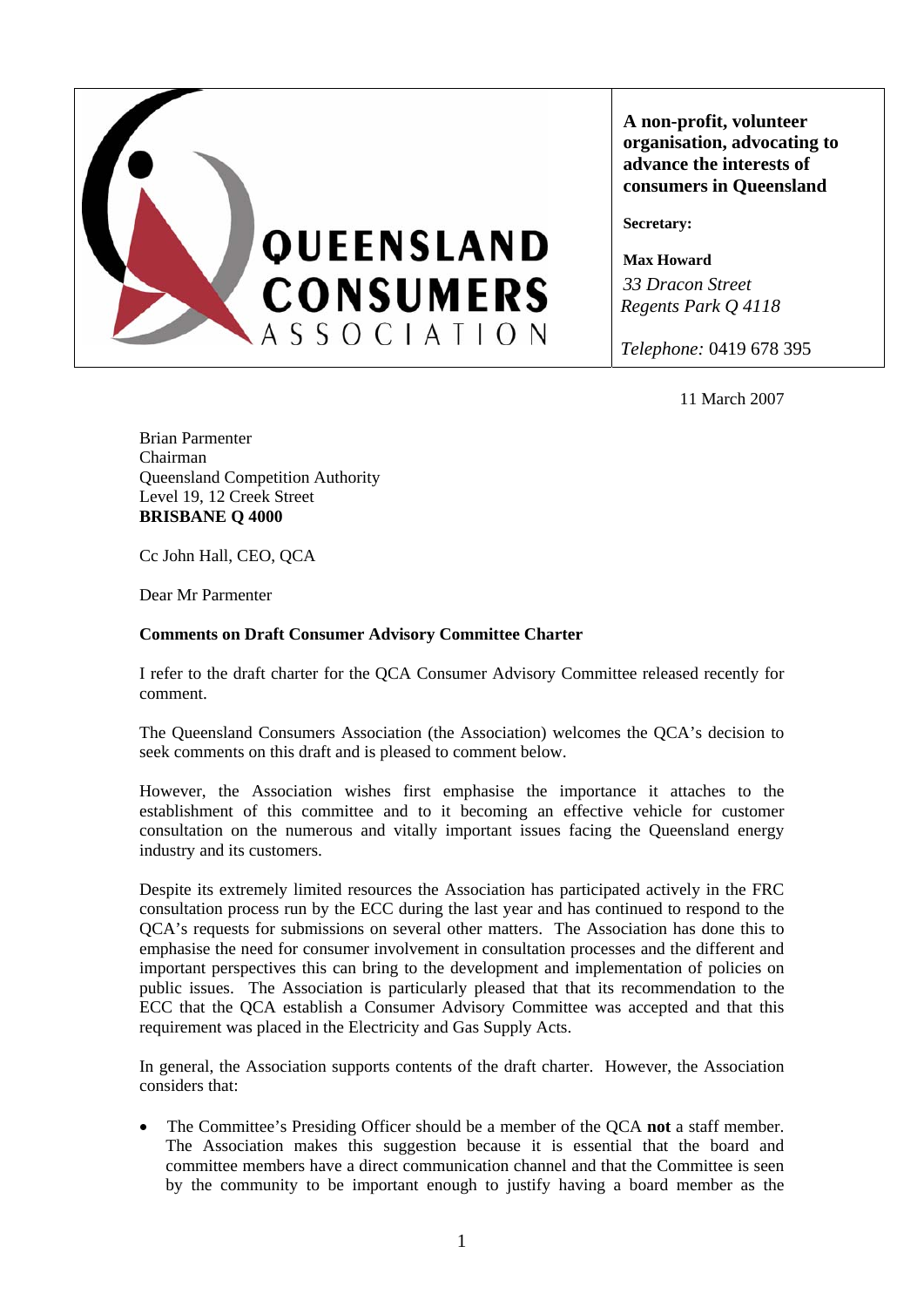

**A non-profit, volunteer organisation, advocating to advance the interests of consumers in Queensland** 

**Secretary:** 

**Max Howard**  *33 Dracon Street Regents Park Q 4118* 

*Telephone:* 0419 678 395

11 March 2007

Brian Parmenter Chairman Queensland Competition Authority Level 19, 12 Creek Street **BRISBANE Q 4000** 

Cc John Hall, CEO, QCA

Dear Mr Parmenter

## **Comments on Draft Consumer Advisory Committee Charter**

I refer to the draft charter for the QCA Consumer Advisory Committee released recently for comment.

The Queensland Consumers Association (the Association) welcomes the QCA's decision to seek comments on this draft and is pleased to comment below.

However, the Association wishes first emphasise the importance it attaches to the establishment of this committee and to it becoming an effective vehicle for customer consultation on the numerous and vitally important issues facing the Queensland energy industry and its customers.

Despite its extremely limited resources the Association has participated actively in the FRC consultation process run by the ECC during the last year and has continued to respond to the QCA's requests for submissions on several other matters. The Association has done this to emphasise the need for consumer involvement in consultation processes and the different and important perspectives this can bring to the development and implementation of policies on public issues. The Association is particularly pleased that that its recommendation to the ECC that the QCA establish a Consumer Advisory Committee was accepted and that this requirement was placed in the Electricity and Gas Supply Acts.

In general, the Association supports contents of the draft charter. However, the Association considers that:

• The Committee's Presiding Officer should be a member of the QCA **not** a staff member. The Association makes this suggestion because it is essential that the board and committee members have a direct communication channel and that the Committee is seen by the community to be important enough to justify having a board member as the